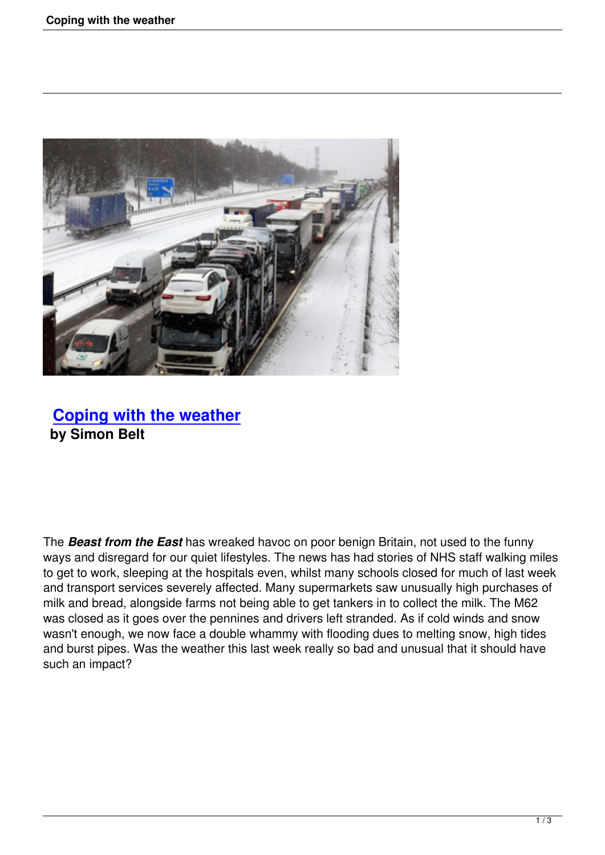

## **Coping with the weather by Simon Belt**

The *Beast from the East* has wreaked havoc on poor benign Britain, not used to the funny ways and disregard for our quiet lifestyles. The news has had stories of NHS staff walking miles to get to work, sleeping at the hospitals even, whilst many schools closed for much of last week and transport services severely affected. Many supermarkets saw unusually high purchases of milk and bread, alongside farms not being able to get tankers in to collect the milk. The M62 was closed as it goes over the pennines and drivers left stranded. As if cold winds and snow wasn't enough, we now face a double whammy with flooding dues to melting snow, high tides and burst pipes. Was the weather this last week really so bad and unusual that it should have such an impact?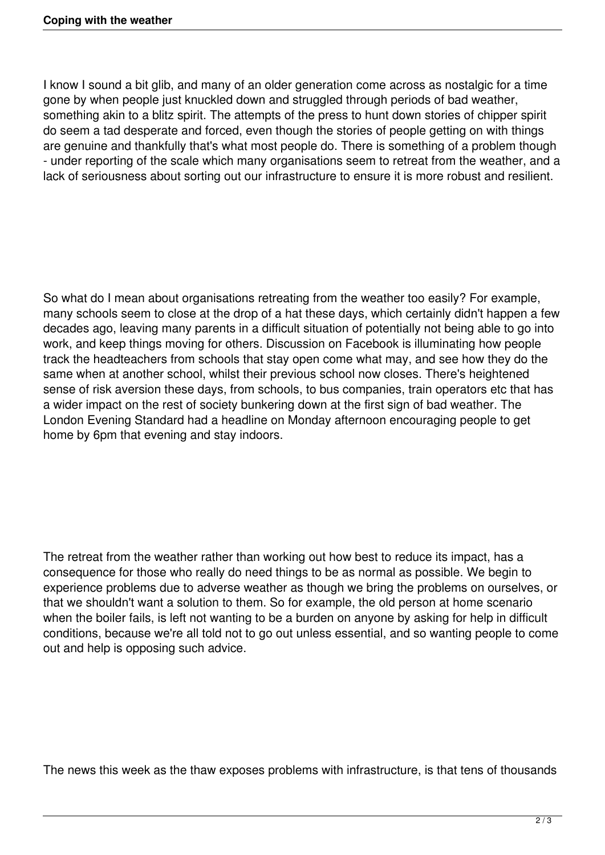I know I sound a bit glib, and many of an older generation come across as nostalgic for a time gone by when people just knuckled down and struggled through periods of bad weather, something akin to a blitz spirit. The attempts of the press to hunt down stories of chipper spirit do seem a tad desperate and forced, even though the stories of people getting on with things are genuine and thankfully that's what most people do. There is something of a problem though - under reporting of the scale which many organisations seem to retreat from the weather, and a lack of seriousness about sorting out our infrastructure to ensure it is more robust and resilient.

So what do I mean about organisations retreating from the weather too easily? For example, many schools seem to close at the drop of a hat these days, which certainly didn't happen a few decades ago, leaving many parents in a difficult situation of potentially not being able to go into work, and keep things moving for others. Discussion on Facebook is illuminating how people track the headteachers from schools that stay open come what may, and see how they do the same when at another school, whilst their previous school now closes. There's heightened sense of risk aversion these days, from schools, to bus companies, train operators etc that has a wider impact on the rest of society bunkering down at the first sign of bad weather. The London Evening Standard had a headline on Monday afternoon encouraging people to get home by 6pm that evening and stay indoors.

The retreat from the weather rather than working out how best to reduce its impact, has a consequence for those who really do need things to be as normal as possible. We begin to experience problems due to adverse weather as though we bring the problems on ourselves, or that we shouldn't want a solution to them. So for example, the old person at home scenario when the boiler fails, is left not wanting to be a burden on anyone by asking for help in difficult conditions, because we're all told not to go out unless essential, and so wanting people to come out and help is opposing such advice.

The news this week as the thaw exposes problems with infrastructure, is that tens of thousands